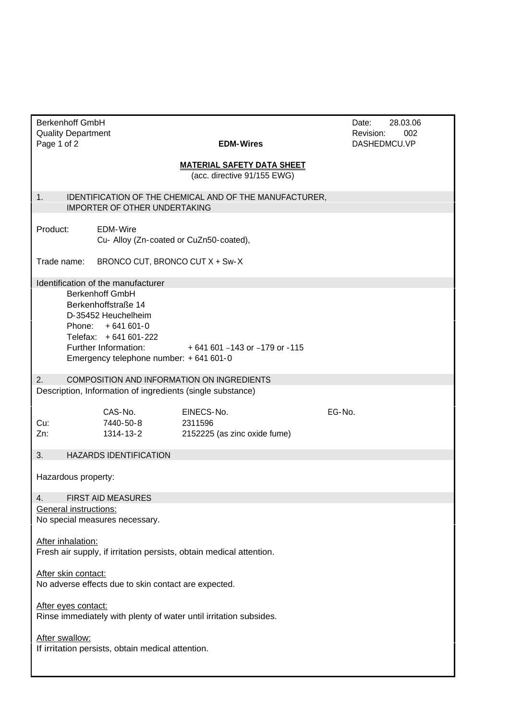| <b>Berkenhoff GmbH</b><br><b>Quality Department</b> |                                                                |                                                                     | 28.03.06<br>Date:<br>002<br>Revision: |
|-----------------------------------------------------|----------------------------------------------------------------|---------------------------------------------------------------------|---------------------------------------|
| Page 1 of 2                                         |                                                                | <b>EDM-Wires</b>                                                    | DASHEDMCU.VP                          |
|                                                     |                                                                | <b>MATERIAL SAFETY DATA SHEET</b><br>(acc. directive 91/155 EWG)    |                                       |
| 1.                                                  | IMPORTER OF OTHER UNDERTAKING                                  | IDENTIFICATION OF THE CHEMICAL AND OF THE MANUFACTURER,             |                                       |
| Product:                                            | EDM-Wire<br>Cu- Alloy (Zn-coated or CuZn50-coated),            |                                                                     |                                       |
| Trade name:                                         | BRONCO CUT, BRONCO CUT X + Sw-X                                |                                                                     |                                       |
|                                                     | Identification of the manufacturer                             |                                                                     |                                       |
|                                                     | <b>Berkenhoff GmbH</b>                                         |                                                                     |                                       |
|                                                     | Berkenhoffstraße 14<br>D-35452 Heuchelheim                     |                                                                     |                                       |
|                                                     | Phone: +641 601-0                                              |                                                                     |                                       |
|                                                     | Telefax: +641 601-222                                          |                                                                     |                                       |
|                                                     | Further Information:<br>Emergency telephone number: +641 601-0 | +641 601 -143 or -179 or -115                                       |                                       |
| 2.                                                  |                                                                | COMPOSITION AND INFORMATION ON INGREDIENTS                          |                                       |
|                                                     | Description, Information of ingredients (single substance)     |                                                                     |                                       |
|                                                     | CAS-No.                                                        | EINECS-No.                                                          | EG-No.                                |
| Cu:                                                 | 7440-50-8                                                      | 2311596                                                             |                                       |
| Zn:                                                 | 1314-13-2                                                      | 2152225 (as zinc oxide fume)                                        |                                       |
| 3.                                                  | <b>HAZARDS IDENTIFICATION</b>                                  |                                                                     |                                       |
| Hazardous property:                                 |                                                                |                                                                     |                                       |
| 4.                                                  | FIRST AID MEASURES                                             |                                                                     |                                       |
| <b>General instructions:</b>                        |                                                                |                                                                     |                                       |
|                                                     | No special measures necessary.                                 |                                                                     |                                       |
| After inhalation:                                   |                                                                |                                                                     |                                       |
|                                                     |                                                                | Fresh air supply, if irritation persists, obtain medical attention. |                                       |
| After skin contact:                                 |                                                                |                                                                     |                                       |
|                                                     | No adverse effects due to skin contact are expected.           |                                                                     |                                       |
|                                                     |                                                                |                                                                     |                                       |
| After eyes contact:                                 |                                                                | Rinse immediately with plenty of water until irritation subsides.   |                                       |
|                                                     |                                                                |                                                                     |                                       |
| After swallow:                                      |                                                                |                                                                     |                                       |
|                                                     | If irritation persists, obtain medical attention.              |                                                                     |                                       |
|                                                     |                                                                |                                                                     |                                       |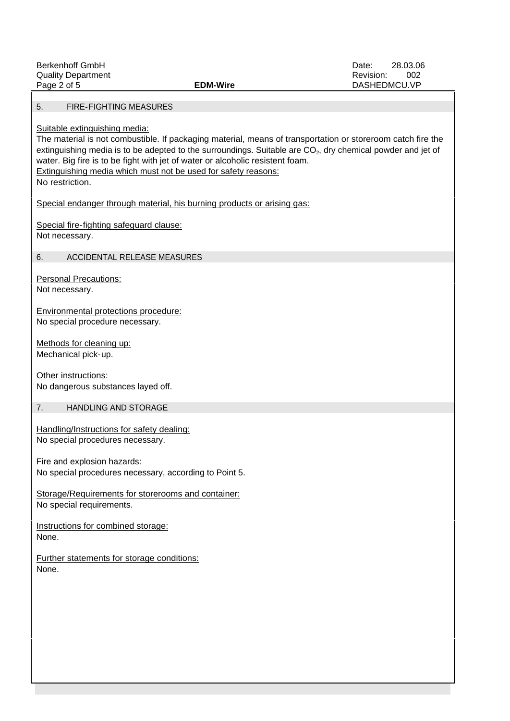| <b>Berkenhoff GmbH</b>                                         |                                                                                                                         | 28.03.06<br>Date: |
|----------------------------------------------------------------|-------------------------------------------------------------------------------------------------------------------------|-------------------|
| <b>Quality Department</b>                                      |                                                                                                                         | 002<br>Revision:  |
| Page 2 of 5                                                    | <b>EDM-Wire</b>                                                                                                         | DASHEDMCU.VP      |
|                                                                |                                                                                                                         |                   |
| FIRE-FIGHTING MEASURES<br>5.                                   |                                                                                                                         |                   |
|                                                                |                                                                                                                         |                   |
| Suitable extinguishing media:                                  | The material is not combustible. If packaging material, means of transportation or storeroom catch fire the             |                   |
|                                                                | extinguishing media is to be adepted to the surroundings. Suitable are CO <sub>2</sub> , dry chemical powder and jet of |                   |
|                                                                | water. Big fire is to be fight with jet of water or alcoholic resistent foam.                                           |                   |
| Extinguishing media which must not be used for safety reasons: |                                                                                                                         |                   |
| No restriction.                                                |                                                                                                                         |                   |
|                                                                |                                                                                                                         |                   |
|                                                                | Special endanger through material, his burning products or arising gas:                                                 |                   |
|                                                                |                                                                                                                         |                   |
| Special fire-fighting safeguard clause:                        |                                                                                                                         |                   |
| Not necessary.                                                 |                                                                                                                         |                   |
|                                                                |                                                                                                                         |                   |
| ACCIDENTAL RELEASE MEASURES<br>6.                              |                                                                                                                         |                   |
| <b>Personal Precautions:</b>                                   |                                                                                                                         |                   |
| Not necessary.                                                 |                                                                                                                         |                   |
|                                                                |                                                                                                                         |                   |
| Environmental protections procedure:                           |                                                                                                                         |                   |
| No special procedure necessary.                                |                                                                                                                         |                   |
|                                                                |                                                                                                                         |                   |
| Methods for cleaning up:                                       |                                                                                                                         |                   |
| Mechanical pick-up.                                            |                                                                                                                         |                   |
|                                                                |                                                                                                                         |                   |
| Other instructions:                                            |                                                                                                                         |                   |
| No dangerous substances layed off.                             |                                                                                                                         |                   |
| 7.                                                             |                                                                                                                         |                   |
| HANDLING AND STORAGE                                           |                                                                                                                         |                   |
| Handling/Instructions for safety dealing:                      |                                                                                                                         |                   |
| No special procedures necessary.                               |                                                                                                                         |                   |
|                                                                |                                                                                                                         |                   |
| Fire and explosion hazards:                                    |                                                                                                                         |                   |
| No special procedures necessary, according to Point 5.         |                                                                                                                         |                   |
|                                                                |                                                                                                                         |                   |
| Storage/Requirements for storerooms and container:             |                                                                                                                         |                   |
| No special requirements.                                       |                                                                                                                         |                   |
|                                                                |                                                                                                                         |                   |
| Instructions for combined storage:                             |                                                                                                                         |                   |
| None.                                                          |                                                                                                                         |                   |
| Further statements for storage conditions:                     |                                                                                                                         |                   |
| None.                                                          |                                                                                                                         |                   |
|                                                                |                                                                                                                         |                   |
|                                                                |                                                                                                                         |                   |
|                                                                |                                                                                                                         |                   |
|                                                                |                                                                                                                         |                   |
|                                                                |                                                                                                                         |                   |
|                                                                |                                                                                                                         |                   |
|                                                                |                                                                                                                         |                   |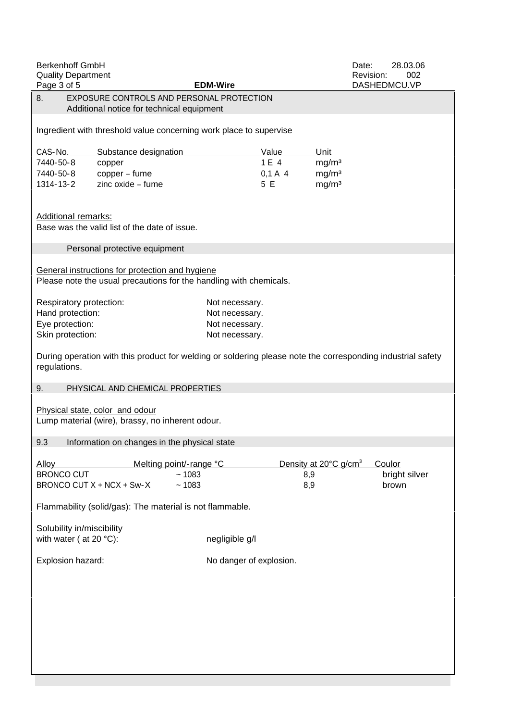| <b>Berkenhoff GmbH</b>                        |                                                                                                             |                                          | 28.03.06<br>Date:                |
|-----------------------------------------------|-------------------------------------------------------------------------------------------------------------|------------------------------------------|----------------------------------|
| <b>Quality Department</b><br>Page 3 of 5      | <b>EDM-Wire</b>                                                                                             |                                          | 002<br>Revision:<br>DASHEDMCU.VP |
|                                               | EXPOSURE CONTROLS AND PERSONAL PROTECTION                                                                   |                                          |                                  |
|                                               | Additional notice for technical equipment                                                                   |                                          |                                  |
|                                               | Ingredient with threshold value concerning work place to supervise                                          |                                          |                                  |
| CAS-No.                                       | Substance designation                                                                                       | Value<br><u>Unit</u>                     |                                  |
| 7440-50-8<br>copper                           |                                                                                                             | 1 E 4<br>mg/m <sup>3</sup>               |                                  |
| 7440-50-8<br>copper - fume                    |                                                                                                             | $0,1 A$ 4<br>mg/m <sup>3</sup>           |                                  |
| 1314-13-2                                     | zinc oxide - fume                                                                                           | 5 E<br>mg/m <sup>3</sup>                 |                                  |
| <b>Additional remarks:</b>                    |                                                                                                             |                                          |                                  |
| Base was the valid list of the date of issue. |                                                                                                             |                                          |                                  |
| Personal protective equipment                 |                                                                                                             |                                          |                                  |
|                                               | General instructions for protection and hygiene                                                             |                                          |                                  |
|                                               | Please note the usual precautions for the handling with chemicals.                                          |                                          |                                  |
|                                               |                                                                                                             |                                          |                                  |
| Respiratory protection:                       | Not necessary.                                                                                              |                                          |                                  |
| Hand protection:<br>Eye protection:           | Not necessary.<br>Not necessary.                                                                            |                                          |                                  |
| Skin protection:                              | Not necessary.                                                                                              |                                          |                                  |
|                                               |                                                                                                             |                                          |                                  |
| regulations.                                  | During operation with this product for welding or soldering please note the corresponding industrial safety |                                          |                                  |
| 9.                                            | PHYSICAL AND CHEMICAL PROPERTIES                                                                            |                                          |                                  |
| Physical state, color and odour               |                                                                                                             |                                          |                                  |
|                                               | Lump material (wire), brassy, no inherent odour.                                                            |                                          |                                  |
|                                               |                                                                                                             |                                          |                                  |
|                                               | 9.3 Information on changes in the physical state                                                            |                                          |                                  |
| <b>Alloy</b>                                  | Melting point/-range °C                                                                                     | Density at 20°C g/cm <sup>3</sup> Coulor |                                  |
| <b>BRONCO CUT</b>                             | ~1083                                                                                                       | 8,9                                      | bright silver                    |
| BRONCO CUT X + NCX + Sw-X                     | ~1083                                                                                                       | 8,9                                      | brown                            |
|                                               |                                                                                                             |                                          |                                  |
|                                               | Flammability (solid/gas): The material is not flammable.                                                    |                                          |                                  |
| Solubility in/miscibility                     |                                                                                                             |                                          |                                  |
| with water ( at 20 $^{\circ}$ C):             | negligible g/l                                                                                              |                                          |                                  |
| Explosion hazard:                             | No danger of explosion.                                                                                     |                                          |                                  |
|                                               |                                                                                                             |                                          |                                  |
|                                               |                                                                                                             |                                          |                                  |
|                                               |                                                                                                             |                                          |                                  |
|                                               |                                                                                                             |                                          |                                  |
|                                               |                                                                                                             |                                          |                                  |
|                                               |                                                                                                             |                                          |                                  |
|                                               |                                                                                                             |                                          |                                  |
|                                               |                                                                                                             |                                          |                                  |
|                                               |                                                                                                             |                                          |                                  |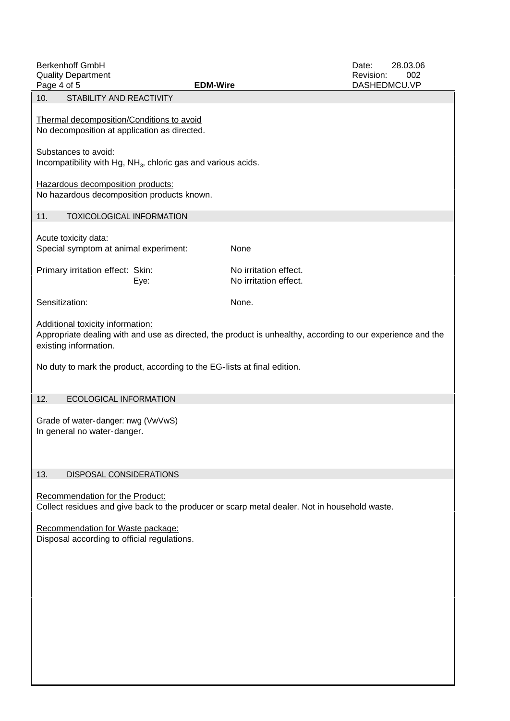| <b>Berkenhoff GmbH</b>                                                                                      |                       | 28.03.06<br>Date: |
|-------------------------------------------------------------------------------------------------------------|-----------------------|-------------------|
| <b>Quality Department</b>                                                                                   |                       | 002<br>Revision:  |
| Page 4 of 5                                                                                                 | <b>EDM-Wire</b>       | DASHEDMCU.VP      |
| 10. STABILITY AND REACTIVITY                                                                                |                       |                   |
|                                                                                                             |                       |                   |
| Thermal decomposition/Conditions to avoid<br>No decomposition at application as directed.                   |                       |                   |
|                                                                                                             |                       |                   |
| Substances to avoid:                                                                                        |                       |                   |
| Incompatibility with Hg, NH <sub>3</sub> , chloric gas and various acids.                                   |                       |                   |
|                                                                                                             |                       |                   |
| Hazardous decomposition products:                                                                           |                       |                   |
| No hazardous decomposition products known.                                                                  |                       |                   |
| 11. TOXICOLOGICAL INFORMATION                                                                               |                       |                   |
|                                                                                                             |                       |                   |
| <b>Acute toxicity data:</b>                                                                                 |                       |                   |
| Special symptom at animal experiment:                                                                       | None                  |                   |
|                                                                                                             |                       |                   |
| Primary irritation effect: Skin:                                                                            | No irritation effect. |                   |
| Eye:                                                                                                        | No irritation effect. |                   |
| Sensitization:                                                                                              | None.                 |                   |
|                                                                                                             |                       |                   |
| Additional toxicity information:                                                                            |                       |                   |
| Appropriate dealing with and use as directed, the product is unhealthy, according to our experience and the |                       |                   |
| existing information.                                                                                       |                       |                   |
| No duty to mark the product, according to the EG-lists at final edition.                                    |                       |                   |
|                                                                                                             |                       |                   |
|                                                                                                             |                       |                   |
| 12. ECOLOGICAL INFORMATION                                                                                  |                       |                   |
|                                                                                                             |                       |                   |
| Grade of water-danger: nwg (VwVwS)                                                                          |                       |                   |
| In general no water-danger.                                                                                 |                       |                   |
|                                                                                                             |                       |                   |
|                                                                                                             |                       |                   |
| 13. DISPOSAL CONSIDERATIONS                                                                                 |                       |                   |
|                                                                                                             |                       |                   |
| Recommendation for the Product:                                                                             |                       |                   |
| Collect residues and give back to the producer or scarp metal dealer. Not in household waste.               |                       |                   |
|                                                                                                             |                       |                   |
| Recommendation for Waste package:<br>Disposal according to official regulations.                            |                       |                   |
|                                                                                                             |                       |                   |
|                                                                                                             |                       |                   |
|                                                                                                             |                       |                   |
|                                                                                                             |                       |                   |
|                                                                                                             |                       |                   |